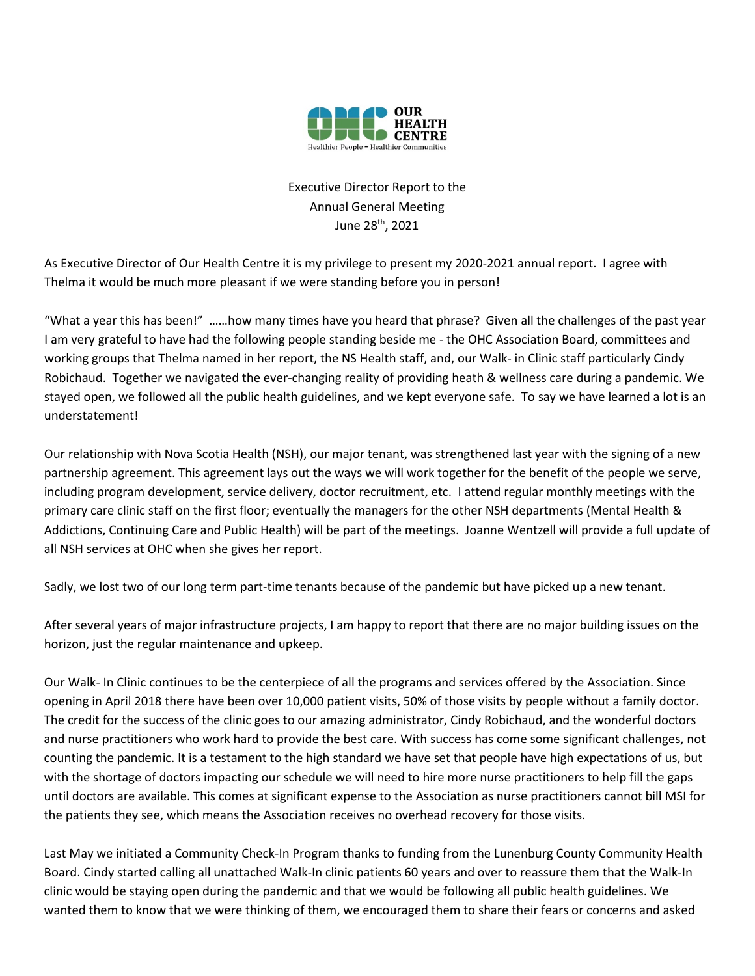

## Executive Director Report to the Annual General Meeting June 28th, 2021

As Executive Director of Our Health Centre it is my privilege to present my 2020-2021 annual report. I agree with Thelma it would be much more pleasant if we were standing before you in person!

"What a year this has been!" ……how many times have you heard that phrase? Given all the challenges of the past year I am very grateful to have had the following people standing beside me - the OHC Association Board, committees and working groups that Thelma named in her report, the NS Health staff, and, our Walk- in Clinic staff particularly Cindy Robichaud. Together we navigated the ever-changing reality of providing heath & wellness care during a pandemic. We stayed open, we followed all the public health guidelines, and we kept everyone safe. To say we have learned a lot is an understatement!

Our relationship with Nova Scotia Health (NSH), our major tenant, was strengthened last year with the signing of a new partnership agreement. This agreement lays out the ways we will work together for the benefit of the people we serve, including program development, service delivery, doctor recruitment, etc. I attend regular monthly meetings with the primary care clinic staff on the first floor; eventually the managers for the other NSH departments (Mental Health & Addictions, Continuing Care and Public Health) will be part of the meetings. Joanne Wentzell will provide a full update of all NSH services at OHC when she gives her report.

Sadly, we lost two of our long term part-time tenants because of the pandemic but have picked up a new tenant.

After several years of major infrastructure projects, I am happy to report that there are no major building issues on the horizon, just the regular maintenance and upkeep.

Our Walk- In Clinic continues to be the centerpiece of all the programs and services offered by the Association. Since opening in April 2018 there have been over 10,000 patient visits, 50% of those visits by people without a family doctor. The credit for the success of the clinic goes to our amazing administrator, Cindy Robichaud, and the wonderful doctors and nurse practitioners who work hard to provide the best care. With success has come some significant challenges, not counting the pandemic. It is a testament to the high standard we have set that people have high expectations of us, but with the shortage of doctors impacting our schedule we will need to hire more nurse practitioners to help fill the gaps until doctors are available. This comes at significant expense to the Association as nurse practitioners cannot bill MSI for the patients they see, which means the Association receives no overhead recovery for those visits.

Last May we initiated a Community Check-In Program thanks to funding from the Lunenburg County Community Health Board. Cindy started calling all unattached Walk-In clinic patients 60 years and over to reassure them that the Walk-In clinic would be staying open during the pandemic and that we would be following all public health guidelines. We wanted them to know that we were thinking of them, we encouraged them to share their fears or concerns and asked